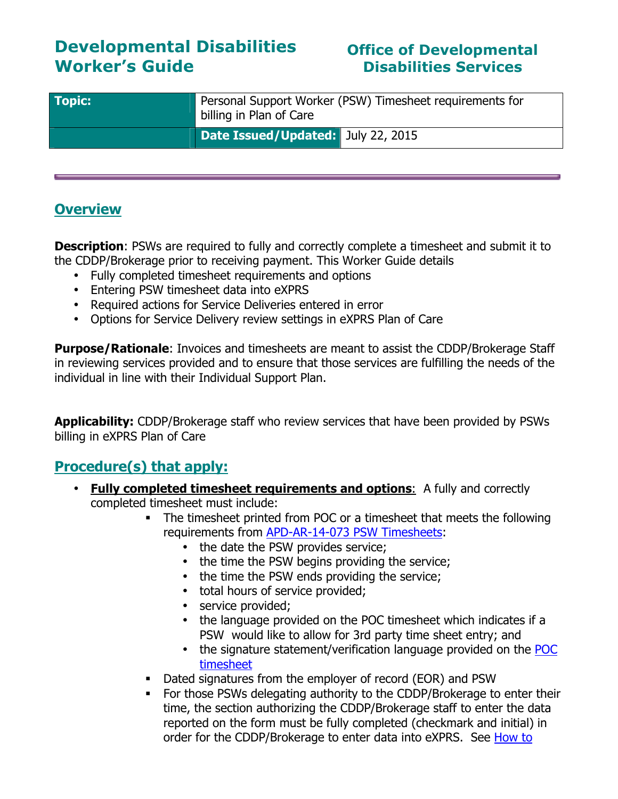# Developmental Disabilities Worker's Guide

### Office of Developmental Disabilities Services

| <b>Topic:</b> | Personal Support Worker (PSW) Timesheet requirements for<br>billing in Plan of Care |
|---------------|-------------------------------------------------------------------------------------|
|               | Date Issued/Updated: July 22, 2015                                                  |

### **Overview**

**Description:** PSWs are required to fully and correctly complete a timesheet and submit it to the CDDP/Brokerage prior to receiving payment. This Worker Guide details

- Fully completed timesheet requirements and options
- Entering PSW timesheet data into eXPRS
- Required actions for Service Deliveries entered in error
- Options for Service Delivery review settings in eXPRS Plan of Care

**Purpose/Rationale:** Invoices and timesheets are meant to assist the CDDP/Brokerage Staff in reviewing services provided and to ensure that those services are fulfilling the needs of the individual in line with their Individual Support Plan.

Applicability: CDDP/Brokerage staff who review services that have been provided by PSWs billing in eXPRS Plan of Care

## Procedure(s) that apply:

- Fully completed timesheet requirements and options: A fully and correctly completed timesheet must include:
	- The timesheet printed from POC or a timesheet that meets the following requirements from APD-AR-14-073 PSW Timesheets:
		- the date the PSW provides service;
		- the time the PSW begins providing the service;
		- the time the PSW ends providing the service;
		- total hours of service provided;
		- service provided;
		- the language provided on the POC timesheet which indicates if a PSW would like to allow for 3rd party time sheet entry; and
		- the signature statement/verification language provided on the POC timesheet
	- Dated signatures from the employer of record (EOR) and PSW
	- For those PSWs delegating authority to the CDDP/Brokerage to enter their time, the section authorizing the CDDP/Brokerage staff to enter the data reported on the form must be fully completed (checkmark and initial) in order for the CDDP/Brokerage to enter data into eXPRS. See How to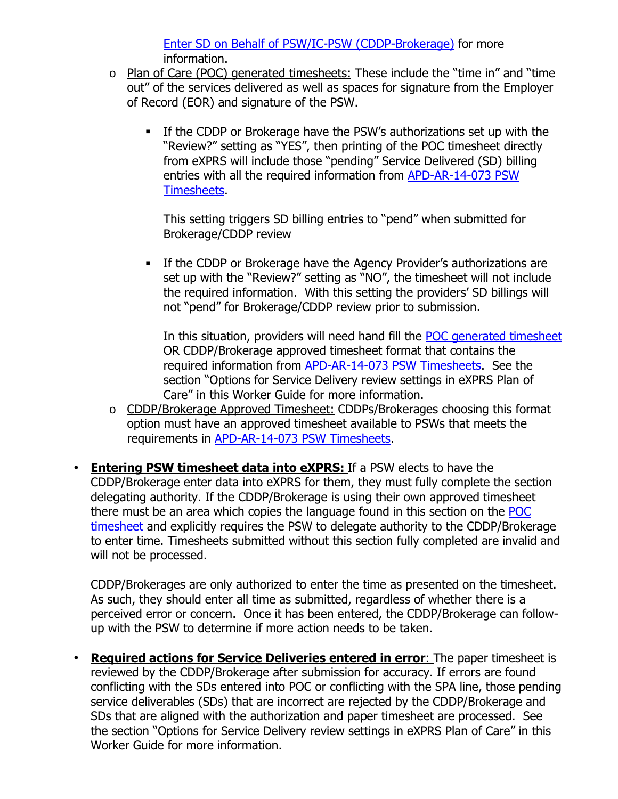Enter SD on Behalf of PSW/IC-PSW (CDDP-Brokerage) for more information.

- o Plan of Care (POC) generated timesheets: These include the "time in" and "time out" of the services delivered as well as spaces for signature from the Employer of Record (EOR) and signature of the PSW.
	- If the CDDP or Brokerage have the PSW's authorizations set up with the "Review?" setting as "YES", then printing of the POC timesheet directly from eXPRS will include those "pending" Service Delivered (SD) billing entries with all the required information from APD-AR-14-073 PSW Timesheets.

This setting triggers SD billing entries to "pend" when submitted for Brokerage/CDDP review

**If the CDDP or Brokerage have the Agency Provider's authorizations are** set up with the "Review?" setting as "NO", the timesheet will not include the required information. With this setting the providers' SD billings will not "pend" for Brokerage/CDDP review prior to submission.

In this situation, providers will need hand fill the POC generated timesheet OR CDDP/Brokerage approved timesheet format that contains the required information from APD-AR-14-073 PSW Timesheets. See the section "Options for Service Delivery review settings in eXPRS Plan of Care" in this Worker Guide for more information.

- o CDDP/Brokerage Approved Timesheet: CDDPs/Brokerages choosing this format option must have an approved timesheet available to PSWs that meets the requirements in APD-AR-14-073 PSW Timesheets.
- Entering PSW timesheet data into eXPRS: If a PSW elects to have the CDDP/Brokerage enter data into eXPRS for them, they must fully complete the section delegating authority. If the CDDP/Brokerage is using their own approved timesheet there must be an area which copies the language found in this section on the POC timesheet and explicitly requires the PSW to delegate authority to the CDDP/Brokerage to enter time. Timesheets submitted without this section fully completed are invalid and will not be processed.

CDDP/Brokerages are only authorized to enter the time as presented on the timesheet. As such, they should enter all time as submitted, regardless of whether there is a perceived error or concern. Once it has been entered, the CDDP/Brokerage can followup with the PSW to determine if more action needs to be taken.

• Required actions for Service Deliveries entered in error: The paper timesheet is reviewed by the CDDP/Brokerage after submission for accuracy. If errors are found conflicting with the SDs entered into POC or conflicting with the SPA line, those pending service deliverables (SDs) that are incorrect are rejected by the CDDP/Brokerage and SDs that are aligned with the authorization and paper timesheet are processed. See the section "Options for Service Delivery review settings in eXPRS Plan of Care" in this Worker Guide for more information.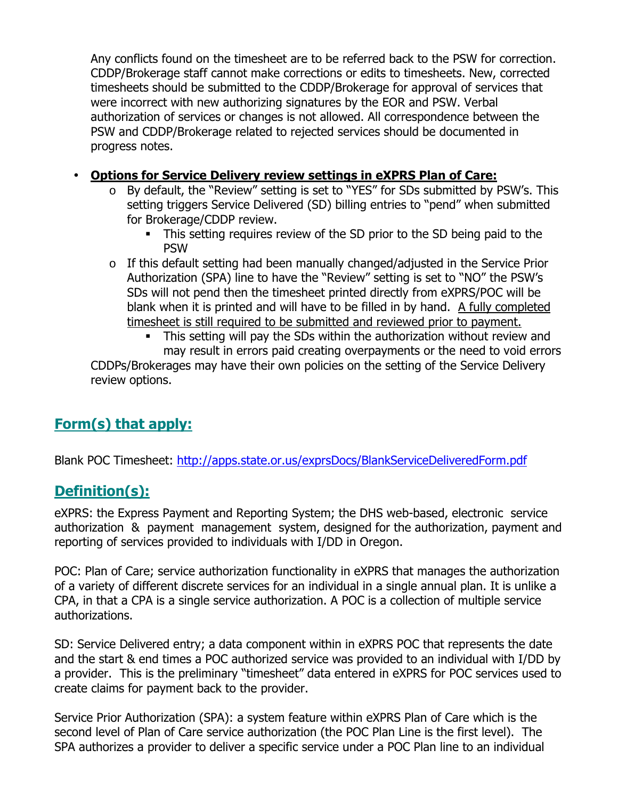Any conflicts found on the timesheet are to be referred back to the PSW for correction. CDDP/Brokerage staff cannot make corrections or edits to timesheets. New, corrected timesheets should be submitted to the CDDP/Brokerage for approval of services that were incorrect with new authorizing signatures by the EOR and PSW. Verbal authorization of services or changes is not allowed. All correspondence between the PSW and CDDP/Brokerage related to rejected services should be documented in progress notes.

#### • Options for Service Delivery review settings in eXPRS Plan of Care:

- o By default, the "Review" setting is set to "YES" for SDs submitted by PSW's. This setting triggers Service Delivered (SD) billing entries to "pend" when submitted for Brokerage/CDDP review.
	- This setting requires review of the SD prior to the SD being paid to the PSW
- o If this default setting had been manually changed/adjusted in the Service Prior Authorization (SPA) line to have the "Review" setting is set to "NO" the PSW's SDs will not pend then the timesheet printed directly from eXPRS/POC will be blank when it is printed and will have to be filled in by hand. A fully completed timesheet is still required to be submitted and reviewed prior to payment.
	- This setting will pay the SDs within the authorization without review and may result in errors paid creating overpayments or the need to void errors

CDDPs/Brokerages may have their own policies on the setting of the Service Delivery review options.

## Form(s) that apply:

Blank POC Timesheet: http://apps.state.or.us/exprsDocs/BlankServiceDeliveredForm.pdf

### Definition(s):

eXPRS: the Express Payment and Reporting System; the DHS web-based, electronic service authorization & payment management system, designed for the authorization, payment and reporting of services provided to individuals with I/DD in Oregon.

POC: Plan of Care; service authorization functionality in eXPRS that manages the authorization of a variety of different discrete services for an individual in a single annual plan. It is unlike a CPA, in that a CPA is a single service authorization. A POC is a collection of multiple service authorizations.

SD: Service Delivered entry; a data component within in eXPRS POC that represents the date and the start & end times a POC authorized service was provided to an individual with I/DD by a provider. This is the preliminary "timesheet" data entered in eXPRS for POC services used to create claims for payment back to the provider.

Service Prior Authorization (SPA): a system feature within eXPRS Plan of Care which is the second level of Plan of Care service authorization (the POC Plan Line is the first level). The SPA authorizes a provider to deliver a specific service under a POC Plan line to an individual